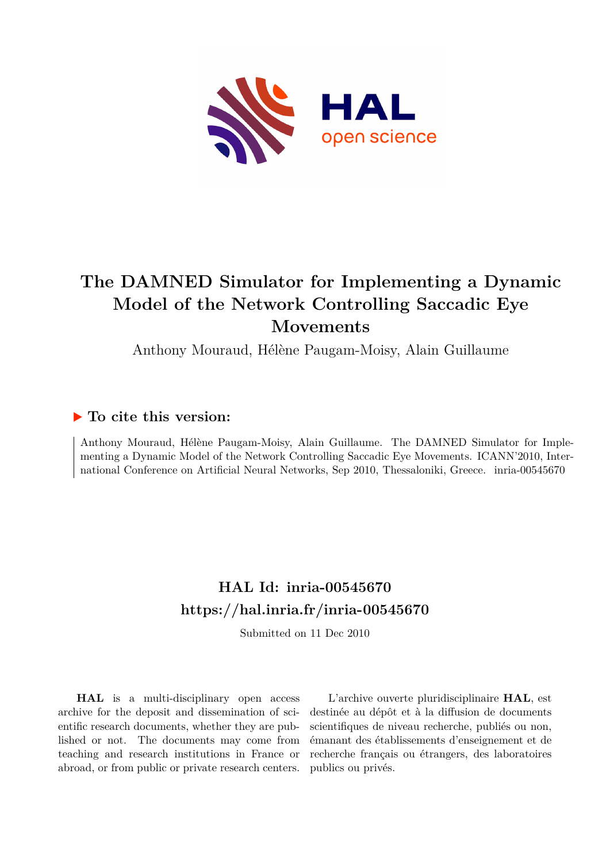

# **The DAMNED Simulator for Implementing a Dynamic Model of the Network Controlling Saccadic Eye Movements**

Anthony Mouraud, Hélène Paugam-Moisy, Alain Guillaume

# **To cite this version:**

Anthony Mouraud, Hélène Paugam-Moisy, Alain Guillaume. The DAMNED Simulator for Implementing a Dynamic Model of the Network Controlling Saccadic Eye Movements. ICANN'2010, International Conference on Artificial Neural Networks, Sep 2010, Thessaloniki, Greece. inria-00545670

# **HAL Id: inria-00545670 <https://hal.inria.fr/inria-00545670>**

Submitted on 11 Dec 2010

**HAL** is a multi-disciplinary open access archive for the deposit and dissemination of scientific research documents, whether they are published or not. The documents may come from teaching and research institutions in France or abroad, or from public or private research centers.

L'archive ouverte pluridisciplinaire **HAL**, est destinée au dépôt et à la diffusion de documents scientifiques de niveau recherche, publiés ou non, émanant des établissements d'enseignement et de recherche français ou étrangers, des laboratoires publics ou privés.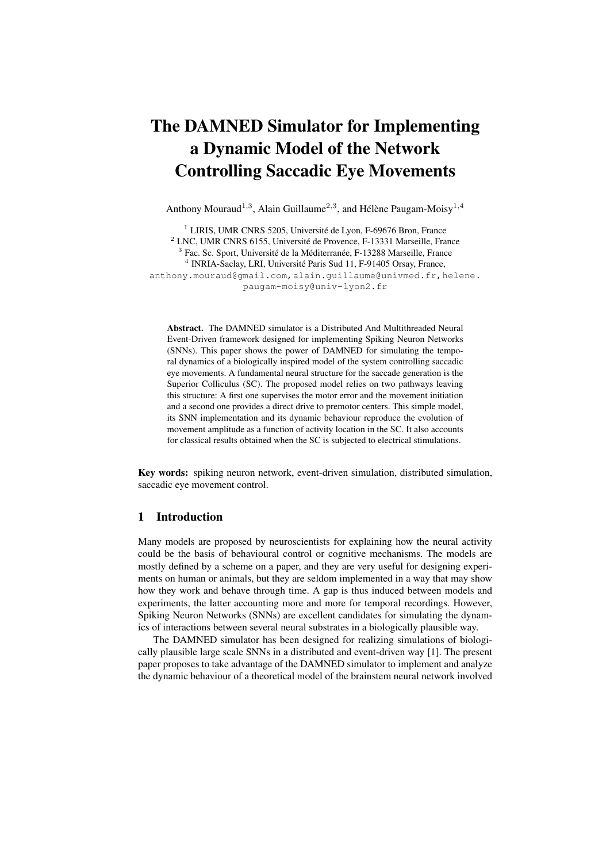# The DAMNED Simulator for Implementing a Dynamic Model of the Network Controlling Saccadic Eye Movements

Anthony Mouraud<sup>1,3</sup>, Alain Guillaume<sup>2,3</sup>, and Hélène Paugam-Moisy<sup>1,4</sup>

<sup>1</sup> LIRIS, UMR CNRS 5205, Université de Lyon, F-69676 Bron, France <sup>2</sup> LNC, UMR CNRS 6155, Université de Provence, F-13331 Marseille, France 3 Fac. Sc. Sport, Université de la Méditerranée, F-13288 Marseille, France 4 INRIA-Saclay, LRI, Université Paris Sud 11, F-91405 Orsay, France, anthony.mouraud@gmail.com, alain.quillaume@univmed.fr, helene. paugam-moisy@univ-lyon2.fr

Abstract. The DAMNED simulator is a Distributed And Multithreaded Neural Event-Driven framework designed for implementing Spiking Neuron Networks (SNNs). This paper shows the power of DAMNED for simulating the temporal dynamics of a biologically inspired model of the system controlling saccadic eye movements. A fundamental neural structure for the saccade generation is the Superior Colliculus (SC). The proposed model relies on two pathways leaving this structure: A first one supervises the motor error and the movement initiation and a second one provides a direct drive to premotor centers. This simple model, its SNN implementation and its dynamic behaviour reproduce the evolution of movement amplitude as a function of activity location in the SC. It also accounts for classical results obtained when the SC is subjected to electrical stimulations.

Key words: spiking neuron network, event-driven simulation, distributed simulation, saccadic eye movement control.

## 1 Introduction

Many models are proposed by neuroscientists for explaining how the neural activity could be the basis of behavioural control or cognitive mechanisms. The models are mostly defined by a scheme on a paper, and they are very useful for designing experiments on human or animals, but they are seldom implemented in a way that may show how they work and behave through time. A gap is thus induced between models and experiments, the latter accounting more and more for temporal recordings. However, Spiking Neuron Networks (SNNs) are excellent candidates for simulating the dynamics of interactions between several neural substrates in a biologically plausible way.

The DAMNED simulator has been designed for realizing simulations of biologically plausible large scale SNNs in a distributed and event-driven way [1]. The present paper proposes to take advantage of the DAMNED simulator to implement and analyze the dynamic behaviour of a theoretical model of the brainstem neural network involved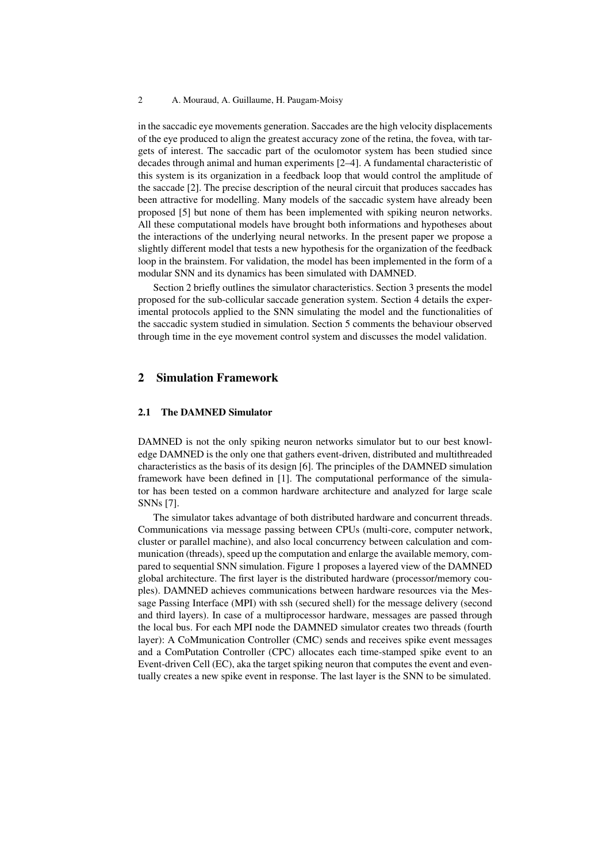in the saccadic eye movements generation. Saccades are the high velocity displacements of the eye produced to align the greatest accuracy zone of the retina, the fovea, with targets of interest. The saccadic part of the oculomotor system has been studied since decades through animal and human experiments [2–4]. A fundamental characteristic of this system is its organization in a feedback loop that would control the amplitude of the saccade [2]. The precise description of the neural circuit that produces saccades has been attractive for modelling. Many models of the saccadic system have already been proposed [5] but none of them has been implemented with spiking neuron networks. All these computational models have brought both informations and hypotheses about the interactions of the underlying neural networks. In the present paper we propose a slightly different model that tests a new hypothesis for the organization of the feedback loop in the brainstem. For validation, the model has been implemented in the form of a modular SNN and its dynamics has been simulated with DAMNED.

Section 2 briefly outlines the simulator characteristics. Section 3 presents the model proposed for the sub-collicular saccade generation system. Section 4 details the experimental protocols applied to the SNN simulating the model and the functionalities of the saccadic system studied in simulation. Section 5 comments the behaviour observed through time in the eye movement control system and discusses the model validation.

# 2 Simulation Framework

### 2.1 The DAMNED Simulator

DAMNED is not the only spiking neuron networks simulator but to our best knowledge DAMNED is the only one that gathers event-driven, distributed and multithreaded characteristics as the basis of its design [6]. The principles of the DAMNED simulation framework have been defined in [1]. The computational performance of the simulator has been tested on a common hardware architecture and analyzed for large scale SNNs [7].

The simulator takes advantage of both distributed hardware and concurrent threads. Communications via message passing between CPUs (multi-core, computer network, cluster or parallel machine), and also local concurrency between calculation and communication (threads), speed up the computation and enlarge the available memory, compared to sequential SNN simulation. Figure 1 proposes a layered view of the DAMNED global architecture. The first layer is the distributed hardware (processor/memory couples). DAMNED achieves communications between hardware resources via the Message Passing Interface (MPI) with ssh (secured shell) for the message delivery (second and third layers). In case of a multiprocessor hardware, messages are passed through the local bus. For each MPI node the DAMNED simulator creates two threads (fourth layer): A CoMmunication Controller (CMC) sends and receives spike event messages and a ComPutation Controller (CPC) allocates each time-stamped spike event to an Event-driven Cell (EC), aka the target spiking neuron that computes the event and eventually creates a new spike event in response. The last layer is the SNN to be simulated.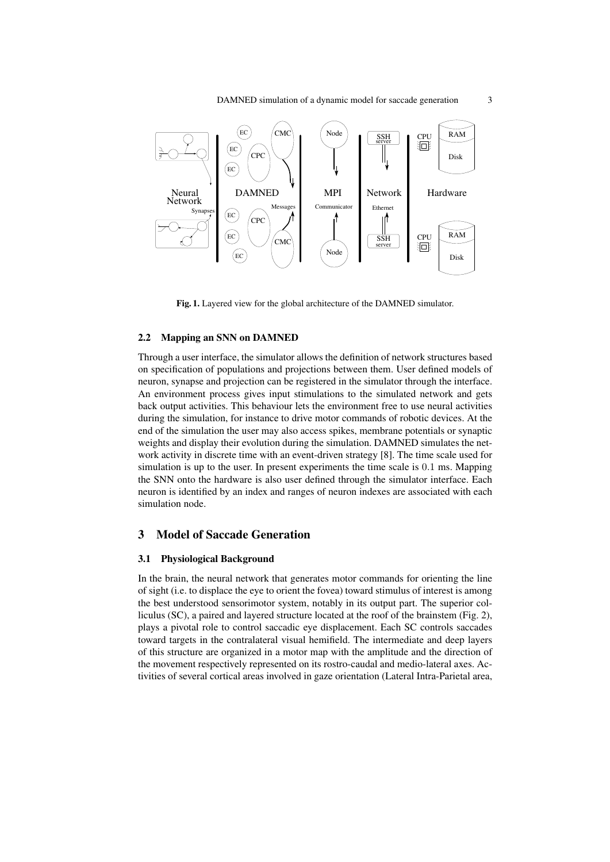DAMNED simulation of a dynamic model for saccade generation 3



Fig. 1. Layered view for the global architecture of the DAMNED simulator.

#### 2.2 Mapping an SNN on DAMNED

Through a user interface, the simulator allows the definition of network structures based on specification of populations and projections between them. User defined models of neuron, synapse and projection can be registered in the simulator through the interface. An environment process gives input stimulations to the simulated network and gets back output activities. This behaviour lets the environment free to use neural activities during the simulation, for instance to drive motor commands of robotic devices. At the end of the simulation the user may also access spikes, membrane potentials or synaptic weights and display their evolution during the simulation. DAMNED simulates the network activity in discrete time with an event-driven strategy [8]. The time scale used for simulation is up to the user. In present experiments the time scale is 0.1 ms. Mapping the SNN onto the hardware is also user defined through the simulator interface. Each neuron is identified by an index and ranges of neuron indexes are associated with each simulation node.

# 3 Model of Saccade Generation

#### 3.1 Physiological Background

In the brain, the neural network that generates motor commands for orienting the line of sight (i.e. to displace the eye to orient the fovea) toward stimulus of interest is among the best understood sensorimotor system, notably in its output part. The superior colliculus (SC), a paired and layered structure located at the roof of the brainstem (Fig. 2), plays a pivotal role to control saccadic eye displacement. Each SC controls saccades toward targets in the contralateral visual hemifield. The intermediate and deep layers of this structure are organized in a motor map with the amplitude and the direction of the movement respectively represented on its rostro-caudal and medio-lateral axes. Activities of several cortical areas involved in gaze orientation (Lateral Intra-Parietal area,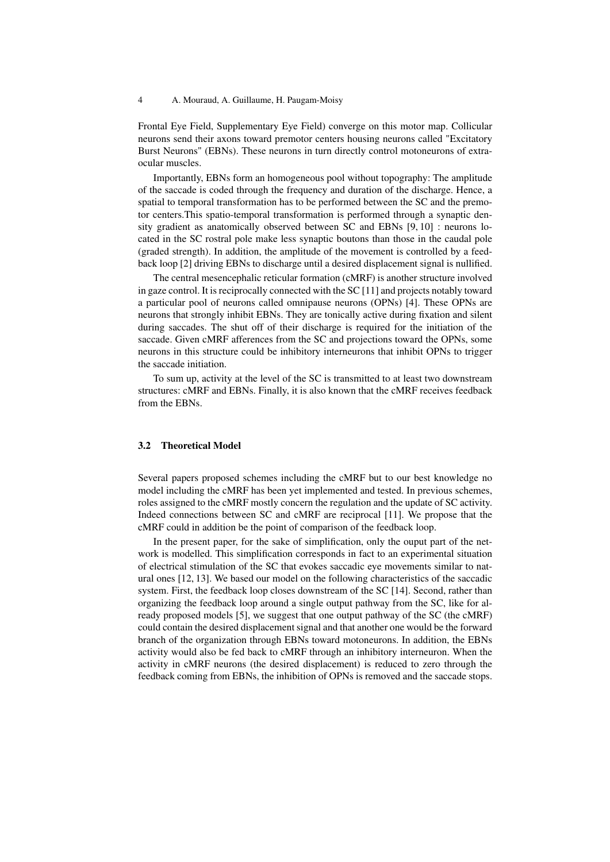Frontal Eye Field, Supplementary Eye Field) converge on this motor map. Collicular neurons send their axons toward premotor centers housing neurons called "Excitatory Burst Neurons" (EBNs). These neurons in turn directly control motoneurons of extraocular muscles.

Importantly, EBNs form an homogeneous pool without topography: The amplitude of the saccade is coded through the frequency and duration of the discharge. Hence, a spatial to temporal transformation has to be performed between the SC and the premotor centers.This spatio-temporal transformation is performed through a synaptic density gradient as anatomically observed between SC and EBNs [9, 10] : neurons located in the SC rostral pole make less synaptic boutons than those in the caudal pole (graded strength). In addition, the amplitude of the movement is controlled by a feedback loop [2] driving EBNs to discharge until a desired displacement signal is nullified.

The central mesencephalic reticular formation (cMRF) is another structure involved in gaze control. It is reciprocally connected with the SC [11] and projects notably toward a particular pool of neurons called omnipause neurons (OPNs) [4]. These OPNs are neurons that strongly inhibit EBNs. They are tonically active during fixation and silent during saccades. The shut off of their discharge is required for the initiation of the saccade. Given cMRF afferences from the SC and projections toward the OPNs, some neurons in this structure could be inhibitory interneurons that inhibit OPNs to trigger the saccade initiation.

To sum up, activity at the level of the SC is transmitted to at least two downstream structures: cMRF and EBNs. Finally, it is also known that the cMRF receives feedback from the EBNs.

#### 3.2 Theoretical Model

Several papers proposed schemes including the cMRF but to our best knowledge no model including the cMRF has been yet implemented and tested. In previous schemes, roles assigned to the cMRF mostly concern the regulation and the update of SC activity. Indeed connections between SC and cMRF are reciprocal [11]. We propose that the cMRF could in addition be the point of comparison of the feedback loop.

In the present paper, for the sake of simplification, only the ouput part of the network is modelled. This simplification corresponds in fact to an experimental situation of electrical stimulation of the SC that evokes saccadic eye movements similar to natural ones [12, 13]. We based our model on the following characteristics of the saccadic system. First, the feedback loop closes downstream of the SC [14]. Second, rather than organizing the feedback loop around a single output pathway from the SC, like for already proposed models [5], we suggest that one output pathway of the SC (the cMRF) could contain the desired displacement signal and that another one would be the forward branch of the organization through EBNs toward motoneurons. In addition, the EBNs activity would also be fed back to cMRF through an inhibitory interneuron. When the activity in cMRF neurons (the desired displacement) is reduced to zero through the feedback coming from EBNs, the inhibition of OPNs is removed and the saccade stops.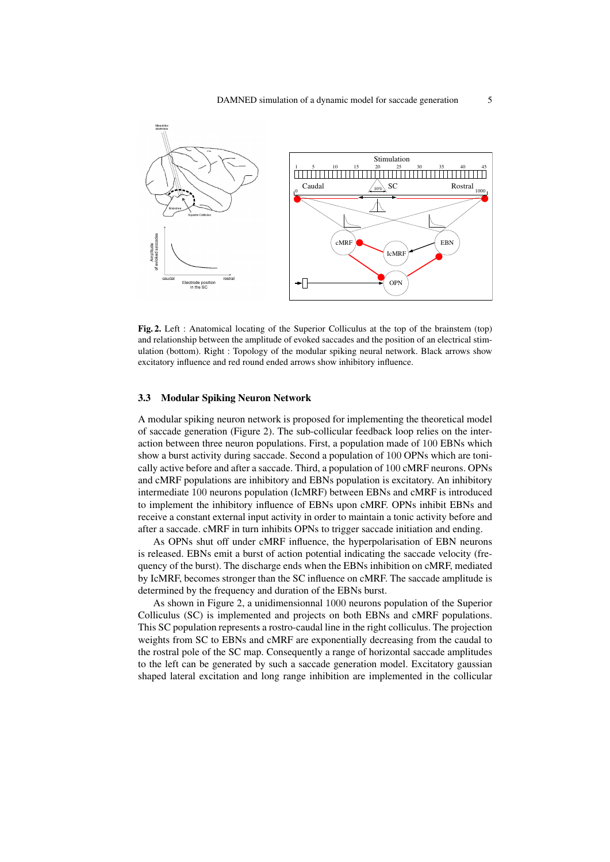

Fig. 2. Left : Anatomical locating of the Superior Colliculus at the top of the brainstem (top) and relationship between the amplitude of evoked saccades and the position of an electrical stimulation (bottom). Right : Topology of the modular spiking neural network. Black arrows show excitatory influence and red round ended arrows show inhibitory influence.

#### 3.3 Modular Spiking Neuron Network

A modular spiking neuron network is proposed for implementing the theoretical model of saccade generation (Figure 2). The sub-collicular feedback loop relies on the interaction between three neuron populations. First, a population made of 100 EBNs which show a burst activity during saccade. Second a population of 100 OPNs which are tonically active before and after a saccade. Third, a population of 100 cMRF neurons. OPNs and cMRF populations are inhibitory and EBNs population is excitatory. An inhibitory intermediate 100 neurons population (IcMRF) between EBNs and cMRF is introduced to implement the inhibitory influence of EBNs upon cMRF. OPNs inhibit EBNs and receive a constant external input activity in order to maintain a tonic activity before and after a saccade. cMRF in turn inhibits OPNs to trigger saccade initiation and ending.

As OPNs shut off under cMRF influence, the hyperpolarisation of EBN neurons is released. EBNs emit a burst of action potential indicating the saccade velocity (frequency of the burst). The discharge ends when the EBNs inhibition on cMRF, mediated by IcMRF, becomes stronger than the SC influence on cMRF. The saccade amplitude is determined by the frequency and duration of the EBNs burst.

As shown in Figure 2, a unidimensionnal 1000 neurons population of the Superior Colliculus (SC) is implemented and projects on both EBNs and cMRF populations. This SC population represents a rostro-caudal line in the right colliculus. The projection weights from SC to EBNs and cMRF are exponentially decreasing from the caudal to the rostral pole of the SC map. Consequently a range of horizontal saccade amplitudes to the left can be generated by such a saccade generation model. Excitatory gaussian shaped lateral excitation and long range inhibition are implemented in the collicular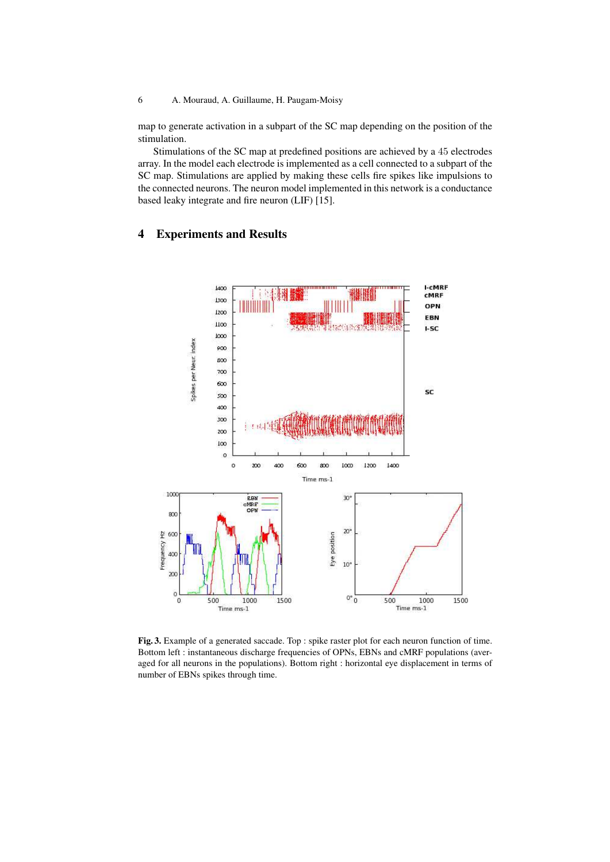map to generate activation in a subpart of the SC map depending on the position of the stimulation.

Stimulations of the SC map at predefined positions are achieved by a 45 electrodes array. In the model each electrode is implemented as a cell connected to a subpart of the SC map. Stimulations are applied by making these cells fire spikes like impulsions to the connected neurons. The neuron model implemented in this network is a conductance based leaky integrate and fire neuron (LIF) [15].

# 4 Experiments and Results



Fig. 3. Example of a generated saccade. Top : spike raster plot for each neuron function of time. Bottom left : instantaneous discharge frequencies of OPNs, EBNs and cMRF populations (averaged for all neurons in the populations). Bottom right : horizontal eye displacement in terms of number of EBNs spikes through time.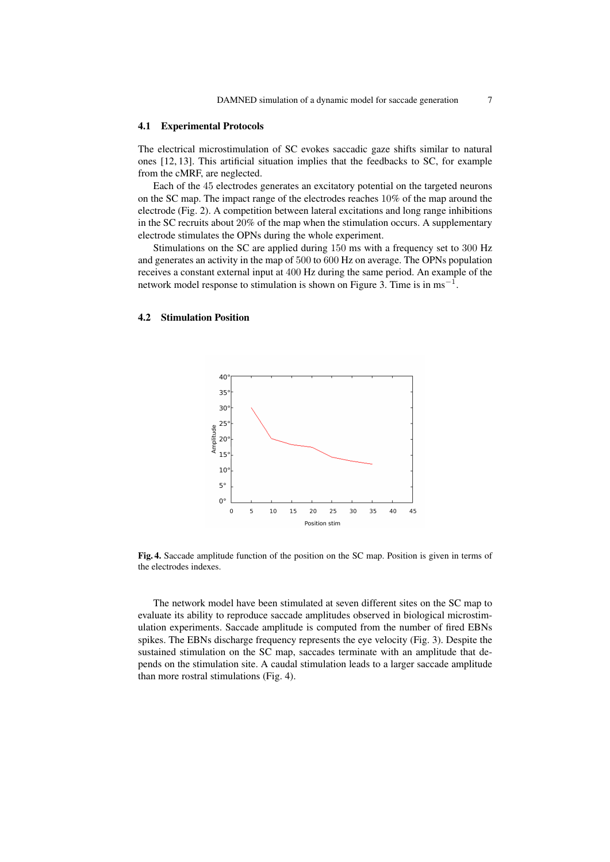#### 4.1 Experimental Protocols

The electrical microstimulation of SC evokes saccadic gaze shifts similar to natural ones [12, 13]. This artificial situation implies that the feedbacks to SC, for example from the cMRF, are neglected.

Each of the 45 electrodes generates an excitatory potential on the targeted neurons on the SC map. The impact range of the electrodes reaches 10% of the map around the electrode (Fig. 2). A competition between lateral excitations and long range inhibitions in the SC recruits about 20% of the map when the stimulation occurs. A supplementary electrode stimulates the OPNs during the whole experiment.

Stimulations on the SC are applied during 150 ms with a frequency set to 300 Hz and generates an activity in the map of 500 to 600 Hz on average. The OPNs population receives a constant external input at 400 Hz during the same period. An example of the network model response to stimulation is shown on Figure 3. Time is in ms<sup>-1</sup>.

#### 4.2 Stimulation Position



Fig. 4. Saccade amplitude function of the position on the SC map. Position is given in terms of the electrodes indexes.

The network model have been stimulated at seven different sites on the SC map to evaluate its ability to reproduce saccade amplitudes observed in biological microstimulation experiments. Saccade amplitude is computed from the number of fired EBNs spikes. The EBNs discharge frequency represents the eye velocity (Fig. 3). Despite the sustained stimulation on the SC map, saccades terminate with an amplitude that depends on the stimulation site. A caudal stimulation leads to a larger saccade amplitude than more rostral stimulations (Fig. 4).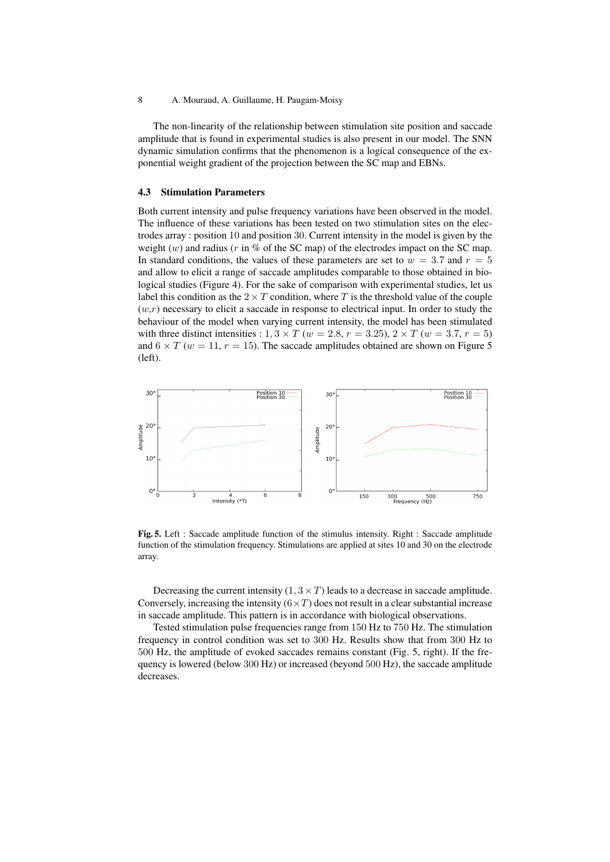The non-linearity of the relationship between stimulation site position and saccade amplitude that is found in experimental studies is also present in our model. The SNN dynamic simulation confirms that the phenomenon is a logical consequence of the exponential weight gradient of the projection between the SC map and EBNs.

#### 4.3 Stimulation Parameters

Both current intensity and pulse frequency variations have been observed in the model. The influence of these variations has been tested on two stimulation sites on the electrodes array : position 10 and position 30. Current intensity in the model is given by the weight  $(w)$  and radius (r in % of the SC map) of the electrodes impact on the SC map. In standard conditions, the values of these parameters are set to  $w = 3.7$  and  $r = 5$ and allow to elicit a range of saccade amplitudes comparable to those obtained in biological studies (Figure 4). For the sake of comparison with experimental studies, let us label this condition as the  $2 \times T$  condition, where T is the threshold value of the couple  $(w,r)$  necessary to elicit a saccade in response to electrical input. In order to study the behaviour of the model when varying current intensity, the model has been stimulated with three distinct intensities :  $1, 3 \times T$  ( $w = 2.8, r = 3.25$ ),  $2 \times T$  ( $w = 3.7, r = 5$ ) and  $6 \times T$  ( $w = 11$ ,  $r = 15$ ). The saccade amplitudes obtained are shown on Figure 5 (left).



Fig. 5. Left : Saccade amplitude function of the stimulus intensity. Right : Saccade amplitude function of the stimulation frequency. Stimulations are applied at sites 10 and 30 on the electrode array.

Decreasing the current intensity  $(1, 3 \times T)$  leads to a decrease in saccade amplitude. Conversely, increasing the intensity  $(6 \times T)$  does not result in a clear substantial increase in saccade amplitude. This pattern is in accordance with biological observations.

Tested stimulation pulse frequencies range from 150 Hz to 750 Hz. The stimulation frequency in control condition was set to 300 Hz. Results show that from 300 Hz to 500 Hz, the amplitude of evoked saccades remains constant (Fig. 5, right). If the frequency is lowered (below 300 Hz) or increased (beyond 500 Hz), the saccade amplitude decreases.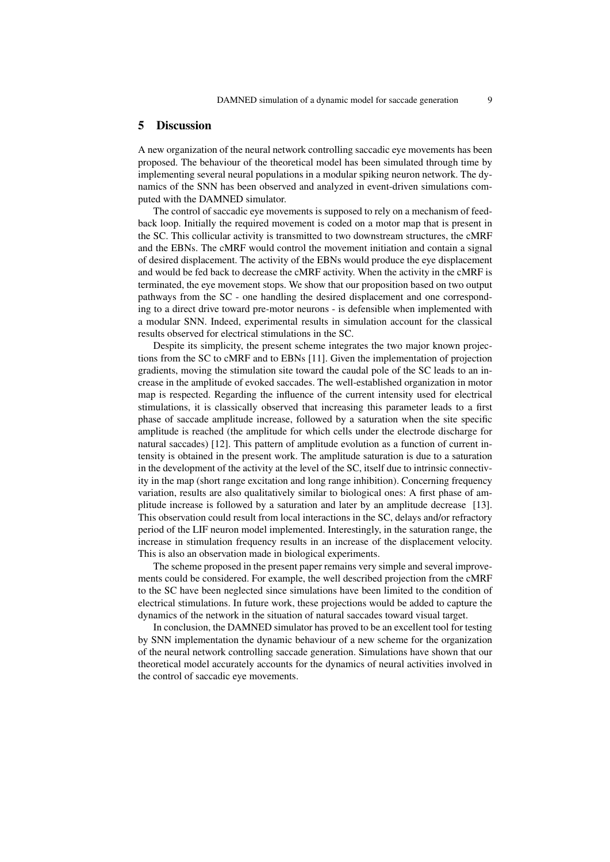#### 5 Discussion

A new organization of the neural network controlling saccadic eye movements has been proposed. The behaviour of the theoretical model has been simulated through time by implementing several neural populations in a modular spiking neuron network. The dynamics of the SNN has been observed and analyzed in event-driven simulations computed with the DAMNED simulator.

The control of saccadic eye movements is supposed to rely on a mechanism of feedback loop. Initially the required movement is coded on a motor map that is present in the SC. This collicular activity is transmitted to two downstream structures, the cMRF and the EBNs. The cMRF would control the movement initiation and contain a signal of desired displacement. The activity of the EBNs would produce the eye displacement and would be fed back to decrease the cMRF activity. When the activity in the cMRF is terminated, the eye movement stops. We show that our proposition based on two output pathways from the SC - one handling the desired displacement and one corresponding to a direct drive toward pre-motor neurons - is defensible when implemented with a modular SNN. Indeed, experimental results in simulation account for the classical results observed for electrical stimulations in the SC.

Despite its simplicity, the present scheme integrates the two major known projections from the SC to cMRF and to EBNs [11]. Given the implementation of projection gradients, moving the stimulation site toward the caudal pole of the SC leads to an increase in the amplitude of evoked saccades. The well-established organization in motor map is respected. Regarding the influence of the current intensity used for electrical stimulations, it is classically observed that increasing this parameter leads to a first phase of saccade amplitude increase, followed by a saturation when the site specific amplitude is reached (the amplitude for which cells under the electrode discharge for natural saccades) [12]. This pattern of amplitude evolution as a function of current intensity is obtained in the present work. The amplitude saturation is due to a saturation in the development of the activity at the level of the SC, itself due to intrinsic connectivity in the map (short range excitation and long range inhibition). Concerning frequency variation, results are also qualitatively similar to biological ones: A first phase of amplitude increase is followed by a saturation and later by an amplitude decrease [13]. This observation could result from local interactions in the SC, delays and/or refractory period of the LIF neuron model implemented. Interestingly, in the saturation range, the increase in stimulation frequency results in an increase of the displacement velocity. This is also an observation made in biological experiments.

The scheme proposed in the present paper remains very simple and several improvements could be considered. For example, the well described projection from the cMRF to the SC have been neglected since simulations have been limited to the condition of electrical stimulations. In future work, these projections would be added to capture the dynamics of the network in the situation of natural saccades toward visual target.

In conclusion, the DAMNED simulator has proved to be an excellent tool for testing by SNN implementation the dynamic behaviour of a new scheme for the organization of the neural network controlling saccade generation. Simulations have shown that our theoretical model accurately accounts for the dynamics of neural activities involved in the control of saccadic eye movements.